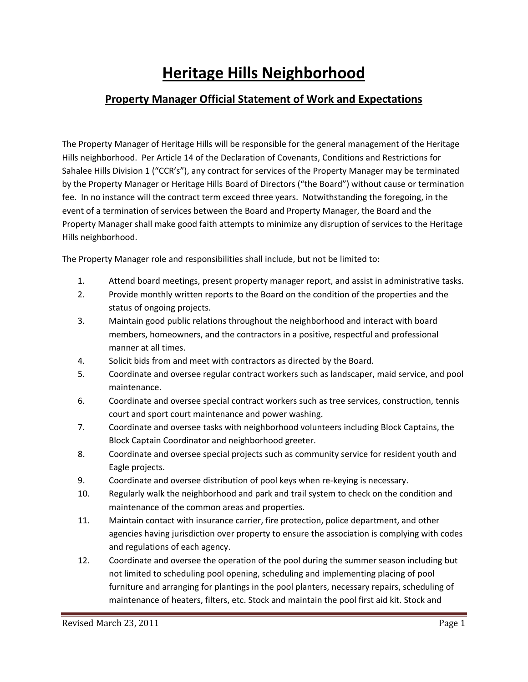## **Heritage Hills Neighborhood**

## **Property Manager Official Statement of Work and Expectations**

The Property Manager of Heritage Hills will be responsible for the general management of the Heritage Hills neighborhood. Per Article 14 of the Declaration of Covenants, Conditions and Restrictions for Sahalee Hills Division 1 ("CCR's"), any contract for services of the Property Manager may be terminated by the Property Manager or Heritage Hills Board of Directors ("the Board") without cause or termination fee. In no instance will the contract term exceed three years. Notwithstanding the foregoing, in the event of a termination of services between the Board and Property Manager, the Board and the Property Manager shall make good faith attempts to minimize any disruption of services to the Heritage Hills neighborhood.

The Property Manager role and responsibilities shall include, but not be limited to:

- 1. Attend board meetings, present property manager report, and assist in administrative tasks.
- status of ongoing projects. 2. Provide monthly written reports to the Board on the condition of the properties and the
- manner at all times. 3. Maintain good public relations throughout the neighborhood and interact with board members, homeowners, and the contractors in a positive, respectful and professional
- 4. Solicit bids from and meet with contractors as directed by the Board.
- 5. Coordinate and oversee regular contract workers such as landscaper, maid service, and pool maintenance.
- 6. Coordinate and oversee special contract workers such as tree services, construction, tennis court and sport court maintenance and power washing.
- Block Captain Coordinator and neighborhood greeter. 7. Coordinate and oversee tasks with neighborhood volunteers including Block Captains, the
- Eagle projects. 8. Coordinate and oversee special projects such as community service for resident youth and
- 9. Coordinate and oversee distribution of pool keys when re-keying is necessary.
- 10. Regularly walk the neighborhood and park and trail system to check on the condition and maintenance of the common areas and properties.
- agencies having jurisdiction over property to ensure the association is complying with codes and regulations of each agency. 11. Maintain contact with insurance carrier, fire protection, police department, and other
- furniture and arranging for plantings in the pool planters, necessary repairs, scheduling of 12. Coordinate and oversee the operation of the pool during the summer season including but not limited to scheduling pool opening, scheduling and implementing placing of pool maintenance of heaters, filters, etc. Stock and maintain the pool first aid kit. Stock and